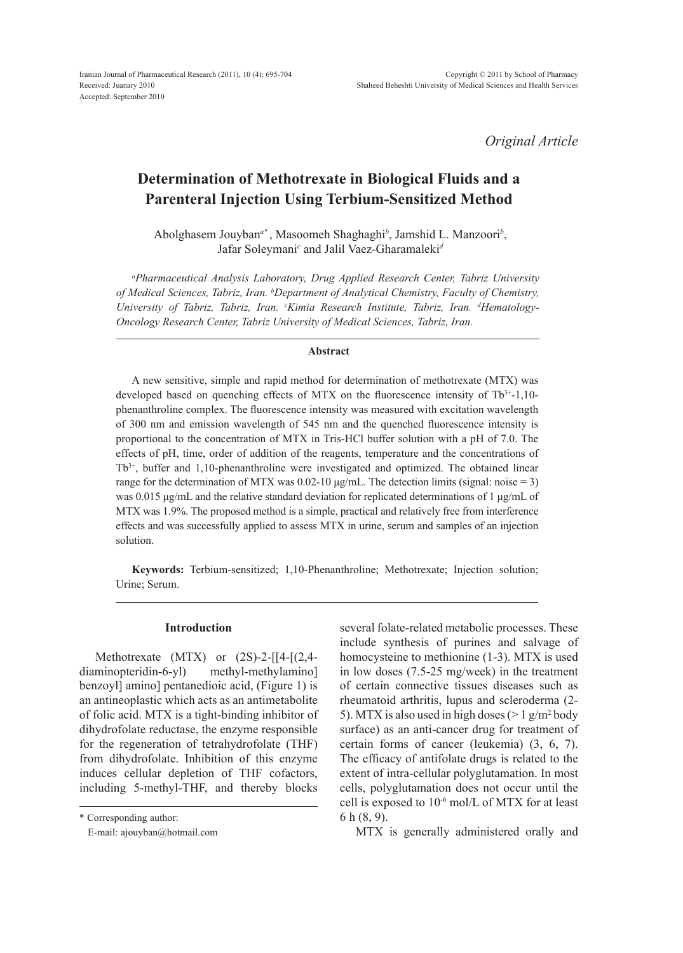*Original Article*

# **Determination of Methotrexate in Biological Fluids and a Parenteral Injection Using Terbium-Sensitized Method**

Abolghasem Jouyban*a\** , Masoomeh Shaghaghi*<sup>b</sup>* , Jamshid L. Manzoori*<sup>b</sup>* , Jafar Soleymani*<sup>c</sup>* and Jalil Vaez-Gharamaleki*<sup>d</sup>*

*a Pharmaceutical Analysis Laboratory, Drug Applied Research Center, Tabriz University of Medical Sciences, Tabriz, Iran. b Department of Analytical Chemistry, Faculty of Chemistry,*  University of Tabriz, Tabriz, Iran. <sup>c</sup>Kimia Research Institute, Tabriz, Iran. <sup>d</sup>Hematology-*Oncology Research Center, Tabriz University of Medical Sciences, Tabriz, Iran.*

### **Abstract**

A new sensitive, simple and rapid method for determination of methotrexate (MTX) was developed based on quenching effects of MTX on the fluorescence intensity of  $Tb^{3+1}$ , 10phenanthroline complex. The fluorescence intensity was measured with excitation wavelength of 300 nm and emission wavelength of 545 nm and the quenched fluorescence intensity is proportional to the concentration of MTX in Tris-HCl buffer solution with a pH of 7.0. The effects of pH, time, order of addition of the reagents, temperature and the concentrations of Tb3+, buffer and 1,10-phenanthroline were investigated and optimized. The obtained linear range for the determination of MTX was  $0.02$ -10  $\mu$ g/mL. The detection limits (signal: noise = 3) was 0.015 μg/mL and the relative standard deviation for replicated determinations of 1 μg/mL of MTX was 1.9%. The proposed method is a simple, practical and relatively free from interference effects and was successfully applied to assess MTX in urine, serum and samples of an injection solution.

**Keywords:** Terbium-sensitized; 1,10-Phenanthroline; Methotrexate; Injection solution; Urine; Serum.

### **Introduction**

Methotrexate  $(MTX)$  or  $(2S)$ -2- $[14-[2,4$ diaminopteridin-6-yl) methyl-methylamino] benzoyl] amino] pentanedioic acid, (Figure 1) is an antineoplastic which acts as an antimetabolite of folic acid. MTX is a tight-binding inhibitor of dihydrofolate reductase, the enzyme responsible for the regeneration of tetrahydrofolate (THF) from dihydrofolate. Inhibition of this enzyme induces cellular depletion of THF cofactors, including 5-methyl-THF, and thereby blocks

\* Corresponding author:

E-mail: ajouyban@hotmail.com

several folate-related metabolic processes. These include synthesis of purines and salvage of homocysteine to methionine (1-3). MTX is used in low doses (7.5-25 mg/week) in the treatment of certain connective tissues diseases such as rheumatoid arthritis, lupus and scleroderma (2- 5). MTX is also used in high doses ( $> 1$  g/m<sup>2</sup> body surface) as an anti-cancer drug for treatment of certain forms of cancer (leukemia) (3, 6, 7). The efficacy of antifolate drugs is related to the extent of intra-cellular polyglutamation. In most cells, polyglutamation does not occur until the cell is exposed to 10-6 mol/L of MTX for at least 6 h (8, 9).

MTX is generally administered orally and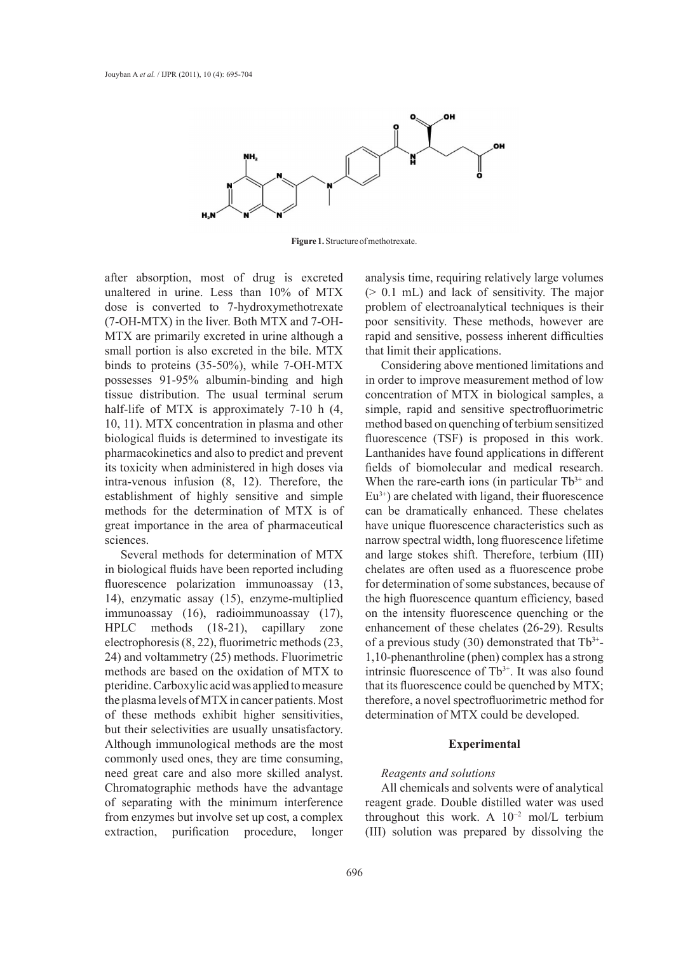

**Figure 1.** Structure of methotrexate.

after absorption, most of drug is excreted unaltered in urine. Less than 10% of MTX dose is converted to 7-hydroxymethotrexate (7-OH-MTX) in the liver. Both MTX and 7-OH-MTX are primarily excreted in urine although a small portion is also excreted in the bile. MTX binds to proteins (35-50%), while 7-OH-MTX possesses 91-95% albumin-binding and high tissue distribution. The usual terminal serum half-life of MTX is approximately 7-10 h  $(4, 4)$ 10, 11). MTX concentration in plasma and other biological fluids is determined to investigate its pharmacokinetics and also to predict and prevent its toxicity when administered in high doses via intra-venous infusion (8, 12). Therefore, the establishment of highly sensitive and simple methods for the determination of MTX is of great importance in the area of pharmaceutical sciences.

Several methods for determination of MTX in biological fluids have been reported including fluorescence polarization immunoassay (13, 14), enzymatic assay (15), enzyme-multiplied immunoassay (16), radioimmunoassay (17), HPLC methods (18-21), capillary zone electrophoresis (8, 22), fluorimetric methods (23, 24) and voltammetry (25) methods. Fluorimetric methods are based on the oxidation of MTX to pteridine. Carboxylic acid was applied to measure the plasma levels of MTX in cancer patients. Most of these methods exhibit higher sensitivities, but their selectivities are usually unsatisfactory. Although immunological methods are the most commonly used ones, they are time consuming, need great care and also more skilled analyst. Chromatographic methods have the advantage of separating with the minimum interference from enzymes but involve set up cost, a complex extraction, purification procedure, longer

analysis time, requiring relatively large volumes (> 0.1 mL) and lack of sensitivity. The major problem of electroanalytical techniques is their poor sensitivity. These methods, however are rapid and sensitive, possess inherent difficulties that limit their applications.

Considering above mentioned limitations and in order to improve measurement method of low concentration of MTX in biological samples, a simple, rapid and sensitive spectrofluorimetric method based on quenching of terbium sensitized fluorescence (TSF) is proposed in this work. Lanthanides have found applications in different fields of biomolecular and medical research. When the rare-earth ions (in particular  $Tb^{3+}$  and  $Eu<sup>3+</sup>$ ) are chelated with ligand, their fluorescence can be dramatically enhanced. These chelates have unique fluorescence characteristics such as narrow spectral width, long fluorescence lifetime and large stokes shift. Therefore, terbium (ІІІ) chelates are often used as a fluorescence probe for determination of some substances, because of the high fluorescence quantum efficiency, based on the intensity fluorescence quenching or the enhancement of these chelates (26-29). Results of a previous study (30) demonstrated that  $Tb^{3+}$ -1,10-phenanthroline (phen) complex has a strong intrinsic fluorescence of Tb<sup>3+</sup>. It was also found that its fluorescence could be quenched by MTX; therefore, a novel spectrofluorimetric method for determination of MTX could be developed.

### **Experimental**

### *Reagents and solutions*

All chemicals and solvents were of analytical reagent grade. Double distilled water was used throughout this work. A 10−2 mol/L terbium (III) solution was prepared by dissolving the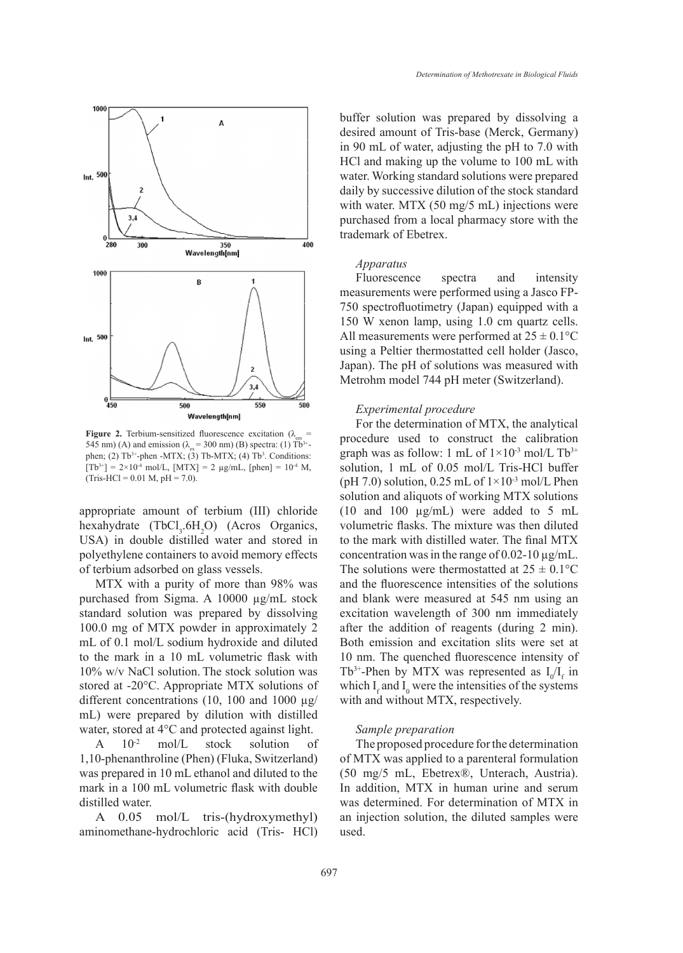

**Figure 2.** Terbium-sensitized fluorescence excitation ( $\lambda_{em}$  = 545 nm) (A) and emission ( $\lambda_{av}$  = 300 nm) (B) spectra: (1) Tb<sup>3+</sup>phen; (2)  $Tb^{3+}$ -phen -MTX; (3)  $Tb$ -MTX; (4)  $Tb^3$ . Conditions:  $[Tb^{3+}] = 2 \times 10^{-4}$  mol/L,  $[MTX] = 2$   $\mu g/mL$ ,  $[phen] = 10^{-4}$  M,  $(Tris-HCl = 0.01 M, pH = 7.0).$ 

appropriate amount of terbium (III) chloride hexahydrate  $(TbCl<sub>3</sub>.6H<sub>2</sub>O)$  (Acros Organics, USA) in double distilled water and stored in polyethylene containers to avoid memory effects of terbium adsorbed on glass vessels.

MTX with a purity of more than 98% was purchased from Sigma. A 10000 µg/mL stock standard solution was prepared by dissolving 100.0 mg of MTX powder in approximately 2 mL of 0.1 mol/L sodium hydroxide and diluted to the mark in a 10 mL volumetric flask with 10% w/v NaCl solution. The stock solution was stored at -20°C. Appropriate MTX solutions of different concentrations (10, 100 and 1000  $\mu$ g/ mL) were prepared by dilution with distilled water, stored at 4°C and protected against light.

A  $10^{-2}$  mol/L stock solution of 1,10-phenanthroline (Phen) (Fluka, Switzerland) was prepared in 10 mL ethanol and diluted to the mark in a 100 mL volumetric flask with double distilled water.

A 0.05 mol/L tris-(hydroxymethyl) aminomethane-hydrochloric acid (Tris- HCl) buffer solution was prepared by dissolving a desired amount of Tris-base (Merck, Germany) in 90 mL of water, adjusting the pH to 7.0 with HCl and making up the volume to 100 mL with water. Working standard solutions were prepared daily by successive dilution of the stock standard with water. MTX (50 mg/5 mL) injections were purchased from a local pharmacy store with the trademark of Ebetrex.

## *Apparatus*

Fluorescence spectra and intensity measurements were performed using a Jasco FP-750 spectrofluotimetry (Japan) equipped with a 150 W xenon lamp, using 1.0 cm quartz cells. All measurements were performed at  $25 \pm 0.1$  °C using a Peltier thermostatted cell holder (Jasco, Japan). The pH of solutions was measured with Metrohm model 744 pH meter (Switzerland).

### *Experimental procedure*

For the determination of MTX, the analytical procedure used to construct the calibration graph was as follow: 1 mL of  $1\times10^{-3}$  mol/L Tb<sup>3+</sup> solution, 1 mL of 0.05 mol/L Tris-HCl buffer (pH 7.0) solution, 0.25 mL of  $1\times10^{-3}$  mol/L Phen solution and aliquots of working MTX solutions (10 and 100 µg/mL) were added to 5 mL volumetric flasks. The mixture was then diluted to the mark with distilled water. The final MTX concentration was in the range of  $0.02$ -10  $\mu$ g/mL. The solutions were thermostatted at  $25 \pm 0.1$ °C and the fluorescence intensities of the solutions and blank were measured at 545 nm using an excitation wavelength of 300 nm immediately after the addition of reagents (during 2 min). Both emission and excitation slits were set at 10 nm. The quenched fluorescence intensity of Tb<sup>3+</sup>-Phen by MTX was represented as  $I_0/I_f$  in which  $I_f$  and  $I_0$  were the intensities of the systems with and without MTX, respectively.

### *Sample preparation*

The proposed procedure for the determination of MTX was applied to a parenteral formulation (50 mg/5 mL, Ebetrex®, Unterach, Austria). In addition, MTX in human urine and serum was determined. For determination of MTX in an injection solution, the diluted samples were used.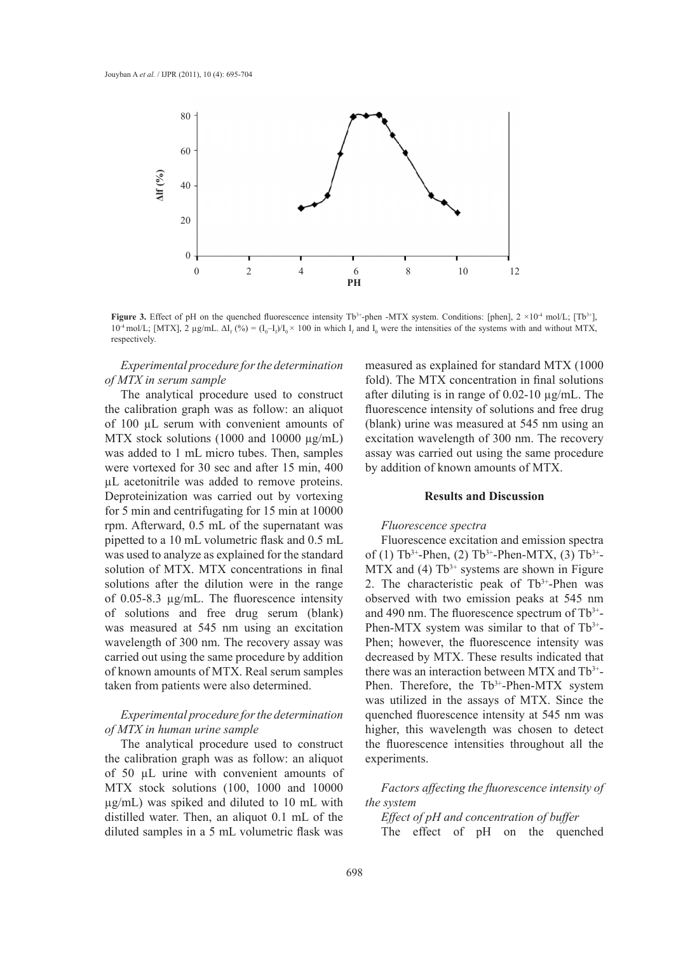

**Figure 3.** Effect of pH on the quenched fluorescence intensity  $Tb^{3+}$ -phen -MTX system. Conditions: [phen],  $2 \times 10^{-4}$  mol/L;  $[Tb^{3+}]$ ,  $10^4$  mol/L; [MTX], 2 μg/mL. ΔI<sub>f</sub> (%) =  $(I_0-I_f)/I_0 \times 100$  in which I<sub>f</sub> and I<sub>0</sub> were the intensities of the systems with and without MTX, respectively.

*Experimental procedure for the determination of MTX in serum sample*

The analytical procedure used to construct the calibration graph was as follow: an aliquot of 100 µL serum with convenient amounts of MTX stock solutions (1000 and 10000  $\mu$ g/mL) was added to 1 mL micro tubes. Then, samples were vortexed for 30 sec and after 15 min, 400 µL acetonitrile was added to remove proteins. Deproteinization was carried out by vortexing for 5 min and centrifugating for 15 min at 10000 rpm. Afterward, 0.5 mL of the supernatant was pipetted to a 10 mL volumetric flask and 0.5 mL was used to analyze as explained for the standard solution of MTX. MTX concentrations in final solutions after the dilution were in the range of 0.05-8.3 µg/mL. The fluorescence intensity of solutions and free drug serum (blank) was measured at 545 nm using an excitation wavelength of 300 nm. The recovery assay was carried out using the same procedure by addition of known amounts of MTX. Real serum samples taken from patients were also determined.

# *Experimental procedure for the determination of MTX in human urine sample*

The analytical procedure used to construct the calibration graph was as follow: an aliquot of 50 µL urine with convenient amounts of MTX stock solutions (100, 1000 and 10000 µg/mL) was spiked and diluted to 10 mL with distilled water. Then, an aliquot 0.1 mL of the diluted samples in a 5 mL volumetric flask was measured as explained for standard MTX (1000 fold). The MTX concentration in final solutions after diluting is in range of  $0.02$ -10  $\mu$ g/mL. The fluorescence intensity of solutions and free drug (blank) urine was measured at 545 nm using an excitation wavelength of 300 nm. The recovery assay was carried out using the same procedure by addition of known amounts of MTX.

# **Results and Discussion**

#### *Fluorescence spectra*

Fluorescence excitation and emission spectra of (1)  $Tb^{3+}$ -Phen, (2)  $Tb^{3+}$ -Phen-MTX, (3)  $Tb^{3+}$ - $MTX$  and (4)  $Tb^{3+}$  systems are shown in Figure 2. The characteristic peak of  $Tb^{3+}$ -Phen was observed with two emission peaks at 545 nm and 490 nm. The fluorescence spectrum of  $Tb^{3+}$ -Phen-MTX system was similar to that of Tb<sup>3+</sup>-Phen; however, the fluorescence intensity was decreased by MTX. These results indicated that there was an interaction between MTX and Tb3+- Phen. Therefore, the Tb<sup>3+</sup>-Phen-MTX system was utilized in the assays of MTX. Since the quenched fluorescence intensity at 545 nm was higher, this wavelength was chosen to detect the fluorescence intensities throughout all the experiments.

*Factors affecting the fluorescence intensity of the system*

*Effect of pH and concentration of buffer* The effect of pH on the quenched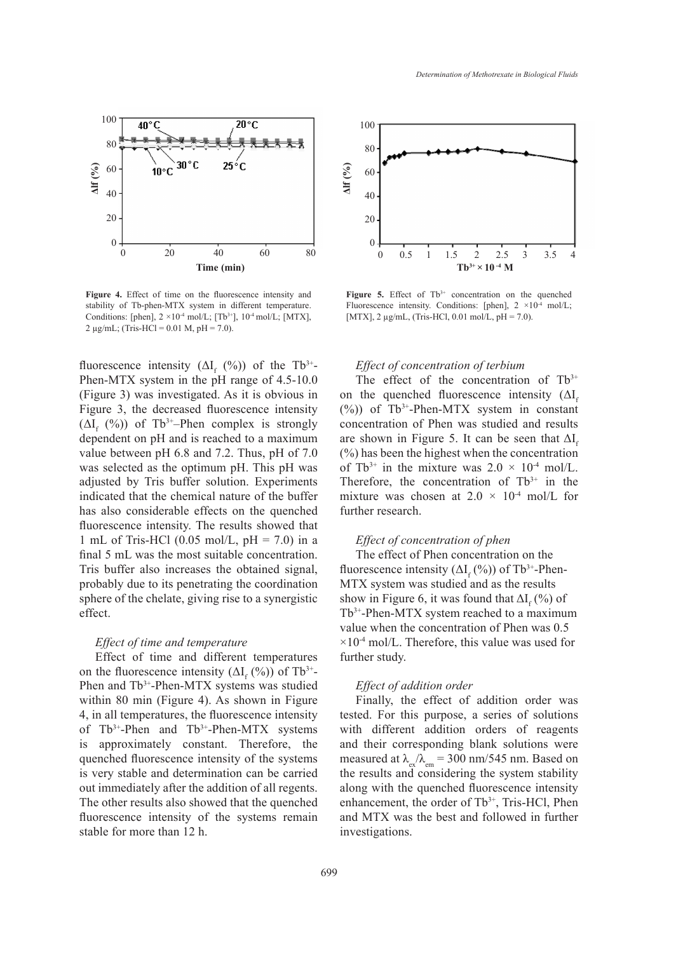

**Figure 4.** Effect of time on the fluorescence intensity and stability of Tb-phen-MTX system in different temperature. Conditions: [phen],  $2 \times 10^{-4}$  mol/L; [Tb<sup>3+</sup>],  $10^{-4}$  mol/L; [MTX], 2  $\mu$ g/mL; (Tris-HCl = 0.01 M, pH = 7.0).

fluorescence intensity  $(\Delta I_f (%))$  of the Tb<sup>3+</sup>-Phen-MTX system in the pH range of 4.5-10.0 (Figure 3) was investigated. As it is obvious in Figure 3, the decreased fluorescence intensity  $(\Delta I_f (%))$  of Tb<sup>3+</sup>–Phen complex is strongly dependent on pH and is reached to a maximum value between pH 6.8 and 7.2. Thus, pH of 7.0 was selected as the optimum pH. This pH was adjusted by Tris buffer solution. Experiments indicated that the chemical nature of the buffer has also considerable effects on the quenched fluorescence intensity. The results showed that 1 mL of Tris-HCl  $(0.05 \text{ mol/L}, \text{pH} = 7.0)$  in a final 5 mL was the most suitable concentration. Tris buffer also increases the obtained signal, probably due to its penetrating the coordination sphere of the chelate, giving rise to a synergistic effect.

# *Effect of time and temperature*

Effect of time and different temperatures on the fluorescence intensity  $(\Delta I_f (%))$  of Tb<sup>3+</sup>-Phen and Tb<sup>3+</sup>-Phen-MTX systems was studied within 80 min (Figure 4). As shown in Figure 4, in all temperatures, the fluorescence intensity of  $Tb^{3+}$ -Phen and  $Tb^{3+}$ -Phen-MTX systems is approximately constant. Therefore, the quenched fluorescence intensity of the systems is very stable and determination can be carried out immediately after the addition of all regents. The other results also showed that the quenched fluorescence intensity of the systems remain stable for more than 12 h.



Figure 5. Effect of Tb<sup>3+</sup> concentration on the quenched Fluorescence intensity. Conditions: [phen],  $2 \times 10^{-4}$  mol/L; [MTX],  $2 \mu g/mL$ , (Tris-HCl, 0.01 mol/L, pH = 7.0).

### *Effect of concentration of terbium*

The effect of the concentration of  $Tb^{3+}$ on the quenched fluorescence intensity  $(\Delta I_{\rm s})$  $(\%)$ ) of Tb<sup>3+</sup>-Phen-MTX system in constant concentration of Phen was studied and results are shown in Figure 5. It can be seen that  $\Delta I_c$ (%) has been the highest when the concentration of Tb<sup>3+</sup> in the mixture was  $2.0 \times 10^{-4}$  mol/L. Therefore, the concentration of  $Tb^{3+}$  in the mixture was chosen at  $2.0 \times 10^{-4}$  mol/L for further research.

# *Effect of concentration of phen*

The effect of Phen concentration on the fluorescence intensity  $(\Delta I_f (\%))$  of Tb<sup>3+</sup>-Phen-MTX system was studied and as the results show in Figure 6, it was found that  $\Delta I_f$  (%) of Tb3+-Phen-MTX system reached to a maximum value when the concentration of Phen was 0.5  $\times 10^{-4}$  mol/L. Therefore, this value was used for further study.

## *Effect of addition order*

Finally, the effect of addition order was tested. For this purpose, a series of solutions with different addition orders of reagents and their corresponding blank solutions were measured at  $\lambda_{\rm av}/\lambda_{\rm em} = 300$  nm/545 nm. Based on the results and considering the system stability along with the quenched fluorescence intensity enhancement, the order of Tb<sup>3+</sup>, Tris-HCl, Phen and MTX was the best and followed in further investigations.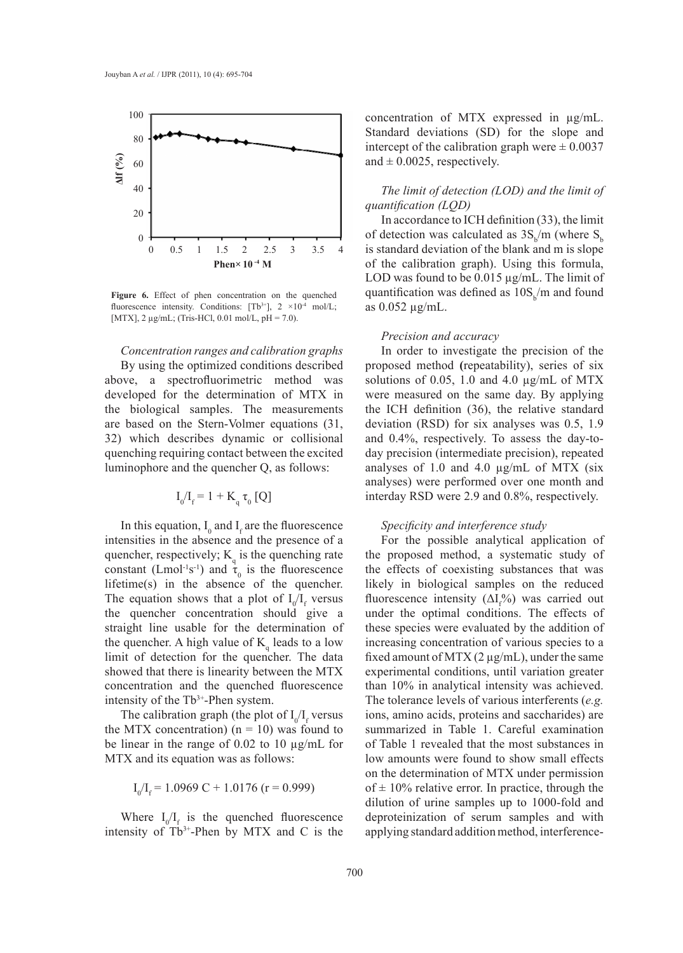

**Figure 6.** Effect of phen concentration on the quenched fluorescence intensity. Conditions:  $[Tb^{3+}]$ ,  $2 \times 10^{-4}$  mol/L; [MTX],  $2 \mu$ g/mL; (Tris-HCl, 0.01 mol/L, pH = 7.0).

#### *Concentration ranges and calibration graphs*

By using the optimized conditions described above, a spectrofluorimetric method was developed for the determination of MTX in the biological samples. The measurements are based on the Stern-Volmer equations (31, 32) which describes dynamic or collisional quenching requiring contact between the excited luminophore and the quencher Q, as follows:

$$
I_0/I_f = 1 + K_q \tau_0 [Q]
$$

In this equation,  $I_0$  and  $I_f$  are the fluorescence intensities in the absence and the presence of a quencher, respectively;  $K_q$  is the quenching rate constant (Lmol<sup>-1</sup>s<sup>-1</sup>) and  $\tau_0$  is the fluorescence lifetime(s) in the absence of the quencher. The equation shows that a plot of  $I_0/I_f$  versus the quencher concentration should give a straight line usable for the determination of the quencher. A high value of  $K_q$  leads to a low limit of detection for the quencher. The data showed that there is linearity between the MTX concentration and the quenched fluorescence intensity of the Tb<sup>3+</sup>-Phen system.

The calibration graph (the plot of  $I_0/I_f$  versus the MTX concentration)  $(n = 10)$  was found to be linear in the range of 0.02 to 10 µg/mL for MTX and its equation was as follows:

$$
I_0/I_f = 1.0969 \text{ C} + 1.0176 \text{ (r} = 0.999)
$$

Where  $I_0/I_f$  is the quenched fluorescence intensity of  $Tb^{3+}$ -Phen by MTX and C is the

concentration of MTX expressed in µg/mL. Standard deviations (SD) for the slope and intercept of the calibration graph were  $\pm 0.0037$ and  $\pm$  0.0025, respectively.

# *The limit of detection (LOD) and the limit of quantification (LQD)*

In accordance to ICH definition (33), the limit of detection was calculated as  $3S_b/m$  (where  $S_b$ is standard deviation of the blank and m is slope of the calibration graph). Using this formula, LOD was found to be 0.015 µg/mL. The limit of quantification was defined as  $10S_b/m$  and found as 0.052 µg/mL.

### *Precision and accuracy*

In order to investigate the precision of the proposed method **(**repeatability), series of six solutions of 0.05, 1.0 and 4.0  $\mu$ g/mL of MTX were measured on the same day. By applying the ICH definition (36), the relative standard deviation (RSD) for six analyses was 0.5, 1.9 and 0.4%, respectively. To assess the day-today precision (intermediate precision), repeated analyses of 1.0 and 4.0 µg/mL of MTX (six analyses) were performed over one month and interday RSD were 2.9 and 0.8%, respectively.

### *Specificity and interference study*

For the possible analytical application of the proposed method, a systematic study of the effects of coexisting substances that was likely in biological samples on the reduced fluorescence intensity  $(\Delta I_f^{\phi}\omega)$  was carried out under the optimal conditions. The effects of these species were evaluated by the addition of increasing concentration of various species to a fixed amount of MTX  $(2 \mu g/mL)$ , under the same experimental conditions, until variation greater than 10% in analytical intensity was achieved. The tolerance levels of various interferents (*e.g.* ions, amino acids, proteins and saccharides) are summarized in Table 1. Careful examination of Table 1 revealed that the most substances in low amounts were found to show small effects on the determination of MTX under permission of  $\pm$  10% relative error. In practice, through the dilution of urine samples up to 1000-fold and deproteinization of serum samples and with applying standard addition method, interference-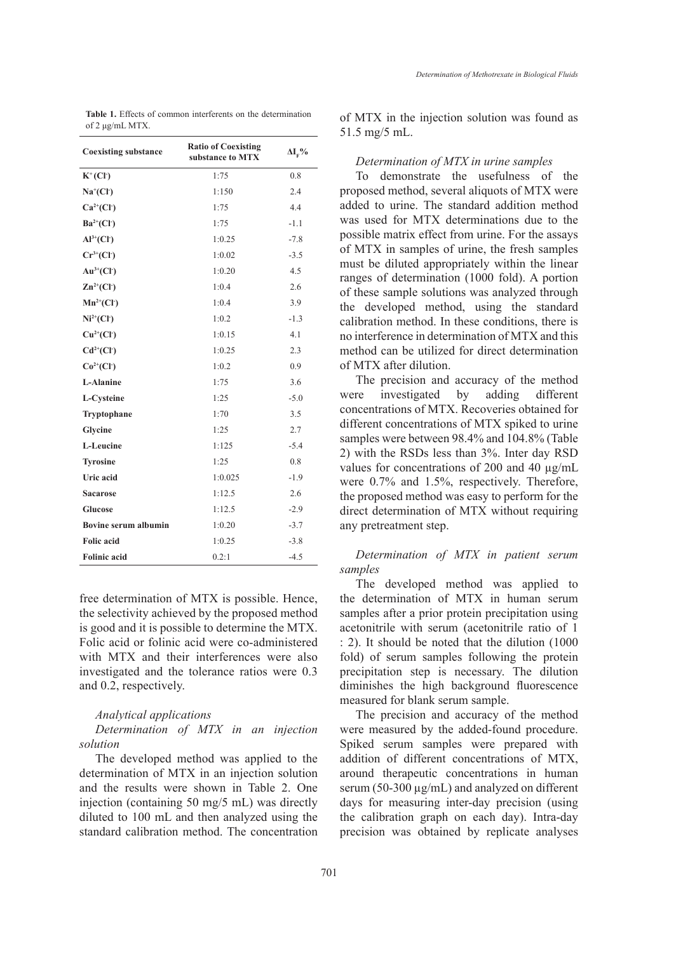| <b>Table 1.</b> Effects of common interferents on the determination |  |  |
|---------------------------------------------------------------------|--|--|
| of 2 $\mu$ g/mL MTX.                                                |  |  |

| <b>Coexisting substance</b> | <b>Ratio of Coexisting</b><br>substance to MTX | $\Delta I_{\rm F}$ % |
|-----------------------------|------------------------------------------------|----------------------|
| $K^+(Cl^-)$                 | 1:75                                           | 0.8                  |
| $Na+(Cl-)$                  | 1:150                                          | 2.4                  |
| $Ca^{2+}(Cl^{-})$           | 1:75                                           | 4.4                  |
| $Ba^{2+}(Cl^{-})$           | 1:75                                           | $-1.1$               |
| $Al^{3+}(Cl^{-})$           | 1:0.25                                         | $-7.8$               |
| $Cr^{3+}(Cl^{-})$           | 1:0.02                                         | $-3.5$               |
| $Au^{3+}(Cl^-)$             | 1:0.20                                         | 4.5                  |
| $\mathbb{Z}n^{2+}(Cl^{-})$  | 1:0.4                                          | 2.6                  |
| $Mn^{2+}(Cl^-)$             | 1:0.4                                          | 3.9                  |
| $Ni2+(Cl2)$                 | 1:0.2                                          | $-1.3$               |
| $Cu^{2+}(Cl^{-})$           | 1:0.15                                         | 4.1                  |
| $Cd2+(Cl-)$                 | 1:0.25                                         | 2.3                  |
| $Co^{2+}(Cl^{-})$           | 1:0.2                                          | 0.9                  |
| L-Alanine                   | 1:75                                           | 3.6                  |
| L-Cysteine                  | 1:25                                           | $-5.0$               |
| Tryptophane                 | 1:70                                           | 3.5                  |
| Glycine                     | 1:25                                           | 2.7                  |
| L-Leucine                   | 1:125                                          | $-5.4$               |
| <b>Tyrosine</b>             | 1:25                                           | 0.8                  |
| <b>Uric</b> acid            | 1:0.025                                        | $-1.9$               |
| <b>Sacarose</b>             | 1:12.5                                         | 2.6                  |
| Glucose                     | 1:12.5                                         | $-2.9$               |
| <b>Bovine serum albumin</b> | 1:0.20                                         | $-3.7$               |
| <b>Folic</b> acid           | 1:0.25                                         | $-3.8$               |
| <b>Folinic acid</b>         | 0.2:1                                          | $-4.5$               |

free determination of MTX is possible. Hence, the selectivity achieved by the proposed method is good and it is possible to determine the MTX. Folic acid or folinic acid were co-administered with MTX and their interferences were also investigated and the tolerance ratios were 0.3 and 0.2, respectively.

### *Analytical applications*

*Determination of MTX in an injection solution*

The developed method was applied to the determination of MTX in an injection solution and the results were shown in Table 2. One injection (containing 50 mg/5 mL) was directly diluted to 100 mL and then analyzed using the standard calibration method. The concentration of MTX in the injection solution was found as 51.5 mg/5 mL.

#### *Determination of MTX in urine samples*

To demonstrate the usefulness of the proposed method, several aliquots of MTX were added to urine. The standard addition method was used for MTX determinations due to the possible matrix effect from urine. For the assays of MTX in samples of urine, the fresh samples must be diluted appropriately within the linear ranges of determination (1000 fold). A portion of these sample solutions was analyzed through the developed method, using the standard calibration method. In these conditions, there is no interference in determination of MTX and this method can be utilized for direct determination of MTX after dilution.

The precision and accuracy of the method were investigated by adding different concentrations of MTX. Recoveries obtained for different concentrations of MTX spiked to urine samples were between 98.4% and 104.8% (Table 2) with the RSDs less than 3%. Inter day RSD values for concentrations of 200 and 40 µg/mL were 0.7% and 1.5%, respectively. Therefore, the proposed method was easy to perform for the direct determination of MTX without requiring any pretreatment step.

# *Determination of MTX in patient serum samples*

The developed method was applied to the determination of MTX in human serum samples after a prior protein precipitation using acetonitrile with serum (acetonitrile ratio of 1 : 2). It should be noted that the dilution (1000 fold) of serum samples following the protein precipitation step is necessary. The dilution diminishes the high background fluorescence measured for blank serum sample.

The precision and accuracy of the method were measured by the added-found procedure. Spiked serum samples were prepared with addition of different concentrations of MTX, around therapeutic concentrations in human serum (50-300 µg/mL) and analyzed on different days for measuring inter-day precision (using the calibration graph on each day). Intra-day precision was obtained by replicate analyses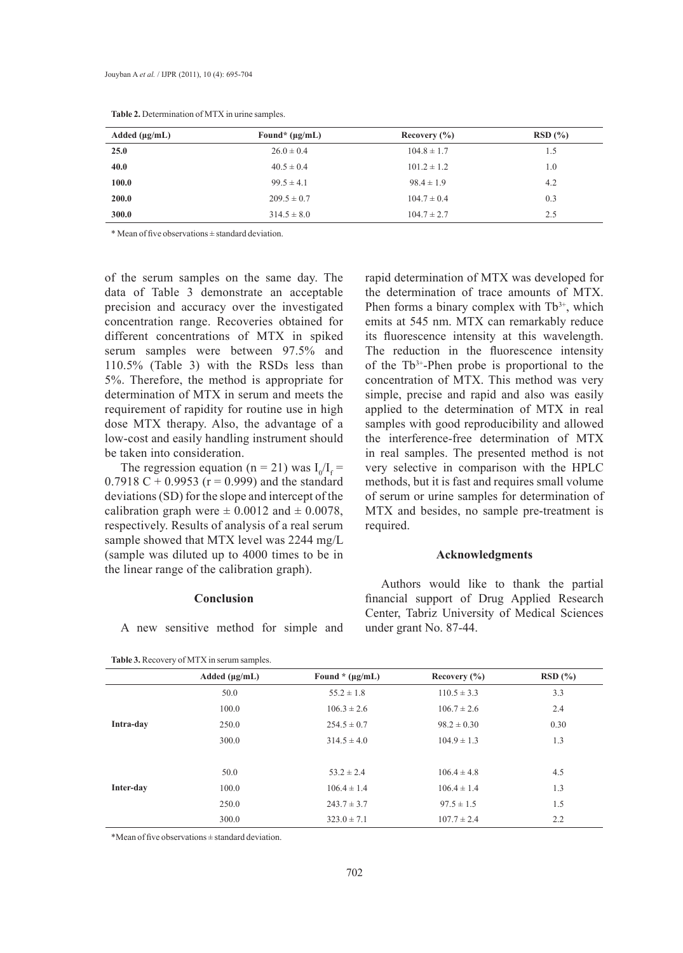| Added $(\mu g/mL)$ | Found* $(\mu g/mL)$ | Recovery $(\% )$ | RSD(%) |
|--------------------|---------------------|------------------|--------|
| 25.0               | $26.0 \pm 0.4$      | $104.8 \pm 1.7$  | 1.5    |
| 40.0               | $40.5 \pm 0.4$      | $101.2 \pm 1.2$  | 1.0    |
| 100.0              | $99.5 \pm 4.1$      | $98.4 \pm 1.9$   | 4.2    |
| <b>200.0</b>       | $209.5 \pm 0.7$     | $104.7 \pm 0.4$  | 0.3    |
| 300.0              | $314.5 \pm 8.0$     | $104.7 \pm 2.7$  | 2.5    |

**Table 2.** Determination of MTX in urine samples.

\* Mean of five observations ± standard deviation.

of the serum samples on the same day. The data of Table 3 demonstrate an acceptable precision and accuracy over the investigated concentration range. Recoveries obtained for different concentrations of MTX in spiked serum samples were between 97.5% and 110.5% (Table 3) with the RSDs less than 5%. Therefore, the method is appropriate for determination of MTX in serum and meets the requirement of rapidity for routine use in high dose MTX therapy. Also, the advantage of a low-cost and easily handling instrument should be taken into consideration.

The regression equation (n = 21) was  $I_0/I_f$  = 0.7918 C + 0.9953 ( $r = 0.999$ ) and the standard deviations (SD) for the slope and intercept of the calibration graph were  $\pm$  0.0012 and  $\pm$  0.0078, respectively. Results of analysis of a real serum sample showed that MTX level was 2244 mg/L (sample was diluted up to 4000 times to be in the linear range of the calibration graph).

# **Conclusion**

A new sensitive method for simple and

rapid determination of MTX was developed for the determination of trace amounts of MTX. Phen forms a binary complex with  $Tb^{3+}$ , which emits at 545 nm. MTX can remarkably reduce its fluorescence intensity at this wavelength. The reduction in the fluorescence intensity of the Tb3+-Phen probe is proportional to the concentration of MTX. This method was very simple, precise and rapid and also was easily applied to the determination of MTX in real samples with good reproducibility and allowed the interference-free determination of MTX in real samples. The presented method is not very selective in comparison with the HPLC methods, but it is fast and requires small volume of serum or urine samples for determination of MTX and besides, no sample pre-treatment is required.

### **Acknowledgments**

Authors would like to thank the partial financial support of Drug Applied Research Center, Tabriz University of Medical Sciences under grant No. 87-44.

|           | Added $(\mu g/mL)$ | Found * $(\mu g/mL)$ | Recovery $(\% )$ | RSD(%) |
|-----------|--------------------|----------------------|------------------|--------|
|           |                    |                      |                  |        |
|           | 50.0               | $55.2 \pm 1.8$       | $110.5 \pm 3.3$  | 3.3    |
|           | 100.0              | $106.3 \pm 2.6$      | $106.7 \pm 2.6$  | 2.4    |
| Intra-day | 250.0              | $254.5 \pm 0.7$      | $98.2 \pm 0.30$  | 0.30   |
|           | 300.0              | $314.5 \pm 4.0$      | $104.9 \pm 1.3$  | 1.3    |
|           |                    |                      |                  |        |
|           | 50.0               | $53.2 \pm 2.4$       | $106.4 \pm 4.8$  | 4.5    |
| Inter-day | 100.0              | $106.4 \pm 1.4$      | $106.4 \pm 1.4$  | 1.3    |
|           | 250.0              | $243.7 \pm 3.7$      | $97.5 \pm 1.5$   | 1.5    |
|           | 300.0              | $323.0 \pm 7.1$      | $107.7 \pm 2.4$  | 2.2    |

\*Mean of five observations ± standard deviation.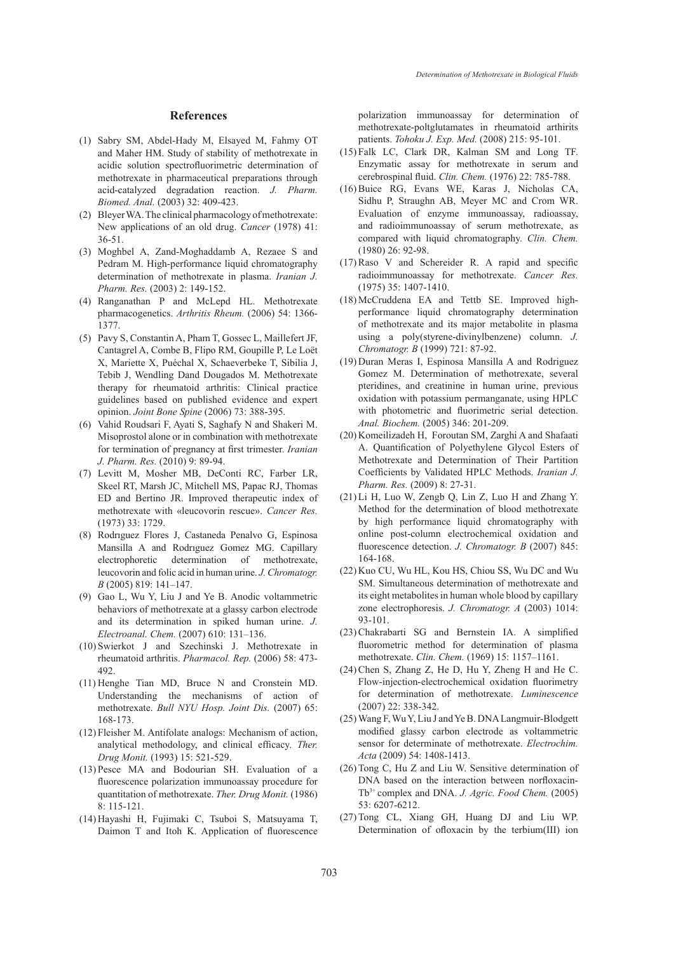### **References**

- (1) Sabry SM, Abdel-Hady M, Elsayed M, Fahmy OT and Maher HM. Study of stability of methotrexate in acidic solution spectrofluorimetric determination of methotrexate in pharmaceutical preparations through acid-catalyzed degradation reaction. *J. Pharm. Biomed. Anal.* (2003) 32: 409-423.
- Bleyer WA. The clinical pharmacology of methotrexate: (2) New applications of an old drug. *Cancer* (1978) 41: 36-51.
- Moghbel A, Zand-Moghaddamb A, Rezaee S and (3) Pedram M. High-performance liquid chromatography determination of methotrexate in plasma. *Iranian J. Pharm. Res.* (2003) 2: 149-152.
- Ranganathan P and McLepd HL. Methotrexate (4) pharmacogenetics. *Arthritis Rheum.* (2006) 54: 1366- 1377.
- Pavy S, Constantin A, Pham T, Gossec L, Maillefert JF, (5) Cantagrel A, Combe B, Flipo RM, Goupille P, Le Loët X, Mariette X, Puéchal X, Schaeverbeke T, Sibilia J, Tebib J, Wendling Dand Dougados M. Methotrexate therapy for rheumatoid arthritis: Clinical practice guidelines based on published evidence and expert opinion. *Joint Bone Spine* (2006) 73: 388-395.
- (6) Vahid Roudsari F, Ayati S, Saghafy N and Shakeri M. Misoprostol alone or in combination with methotrexate for termination of pregnancy at first trimester. *Iranian J. Pharm. Res.* (2010) 9: 89-94.
- Levitt M, Mosher MB, DeConti RC, Farber LR, (7) Skeel RT, Marsh JC, Mitchell MS, Papac RJ, Thomas ED and Bertino JR. Improved therapeutic index of methotrexate with «leucovorin rescue». *Cancer Res.* (1973) 33: 1729.
- Rodrıguez Flores J, Castaneda Penalvo G, Espinosa (8) Mansilla A and Rodrıguez Gomez MG. Capillary electrophoretic determination of methotrexate, leucovorin and folic acid in human urine. *J. Chromatogr. B* (2005) 819: 141–147.
- Gao L, Wu Y, Liu J and Ye B. Anodic voltammetric (9) behaviors of methotrexate at a glassy carbon electrode and its determination in spiked human urine. *J. Electroanal. Chem.* (2007) 610: 131–136.
- (10) Swierkot J and Szechinski J. Methotrexate in rheumatoid arthritis. *Pharmacol. Rep.* (2006) 58: 473- 492.
- $(11)$  Henghe Tian MD, Bruce N and Cronstein MD. Understanding the mechanisms of action of methotrexate. *Bull NYU Hosp. Joint Dis.* (2007) 65: 168-173.
- Fleisher M. Antifolate analogs: Mechanism of action, (12) analytical methodology, and clinical efficacy. *Ther. Drug Monit.* (1993) 15: 521-529.
- $(13)$  Pesce MA and Bodourian SH. Evaluation of a fluorescence polarization immunoassay procedure for quantitation of methotrexate. *Ther. Drug Monit.* (1986) 8: 115-121.
- Hayashi H, Fujimaki C, Tsuboi S, Matsuyama T, (14) Daimon T and Itoh K. Application of fluorescence

polarization immunoassay for determination of methotrexate-poltglutamates in rheumatoid arthirits patients. *Tohoku J. Exp. Med.* (2008) 215: 95-101.

- $(15)$  Falk LC, Clark DR, Kalman SM and Long TF. Enzymatic assay for methotrexate in serum and cerebrospinal fluid. *Clin. Chem.* (1976) 22: 785-788.
- $(16)$  Buice RG, Evans WE, Karas J, Nicholas CA, Sidhu P, Straughn AB, Meyer MC and Crom WR. Evaluation of enzyme immunoassay, radioassay, and radioimmunoassay of serum methotrexate, as compared with liquid chromatography. *Clin. Chem.* (1980) 26: 92-98.
- $(17)$  Raso V and Schereider R. A rapid and specific radioimmunoassay for methotrexate. *Cancer Res.* (1975) 35: 1407-1410.
- McCruddena EA and Tettb SE. Improved high-(18) performance liquid chromatography determination of methotrexate and its major metabolite in plasma using a poly(styrene-divinylbenzene) column. *J. Chromatogr. B* (1999) 721: 87-92.
- $(19)$  Duran Meras I, Espinosa Mansilla A and Rodriguez Gomez M. Determination of methotrexate, several pteridines, and creatinine in human urine, previous oxidation with potassium permanganate, using HPLC with photometric and fluorimetric serial detection. *Anal. Biochem.* (2005) 346: 201-209.
- (20) Komeilizadeh H, Foroutan SM, Zarghi A and Shafaati A. Quantification of Polyethylene Glycol Esters of Methotrexate and Determination of Their Partition Coefficients by Validated HPLC Methods. *Iranian J. Pharm. Res.* (2009) 8: 27-31.
- $(21)$  Li H, Luo W, Zengb Q, Lin Z, Luo H and Zhang Y. Method for the determination of blood methotrexate by high performance liquid chromatography with online post-column electrochemical oxidation and fluorescence detection. *J. Chromatogr. B* (2007) 845: 164-168.
- (22) Kuo CU, Wu HL, Kou HS, Chiou SS, Wu DC and Wu SM. Simultaneous determination of methotrexate and its eight metabolites in human whole blood by capillary zone electrophoresis. *J. Chromatogr. A* (2003) 1014: 93-101.
- (23) Chakrabarti SG and Bernstein IA. A simplified fluorometric method for determination of plasma methotrexate. *Clin. Chem.* (1969) 15: 1157–1161.
- $(24)$  Chen S, Zhang Z, He D, Hu Y, Zheng H and He C. Flow-injection-electrochemical oxidation fluorimetry for determination of methotrexate. *Luminescence* (2007) 22: 338-342.
- Wang F, Wu Y, Liu J and Ye B. DNA Langmuir-Blodgett (25) modified glassy carbon electrode as voltammetric sensor for determinate of methotrexate. *Electrochim. Acta* (2009) 54: 1408-1413.
- $(26)$  Tong C, Hu Z and Liu W. Sensitive determination of DNA based on the interaction between norfloxacin-Tb3+ complex and DNA. *J. Agric. Food Chem.* (2005) 53: 6207-6212.
- (27) Tong CL, Xiang GH, Huang DJ and Liu WP. Determination of ofloxacin by the terbium(III) ion